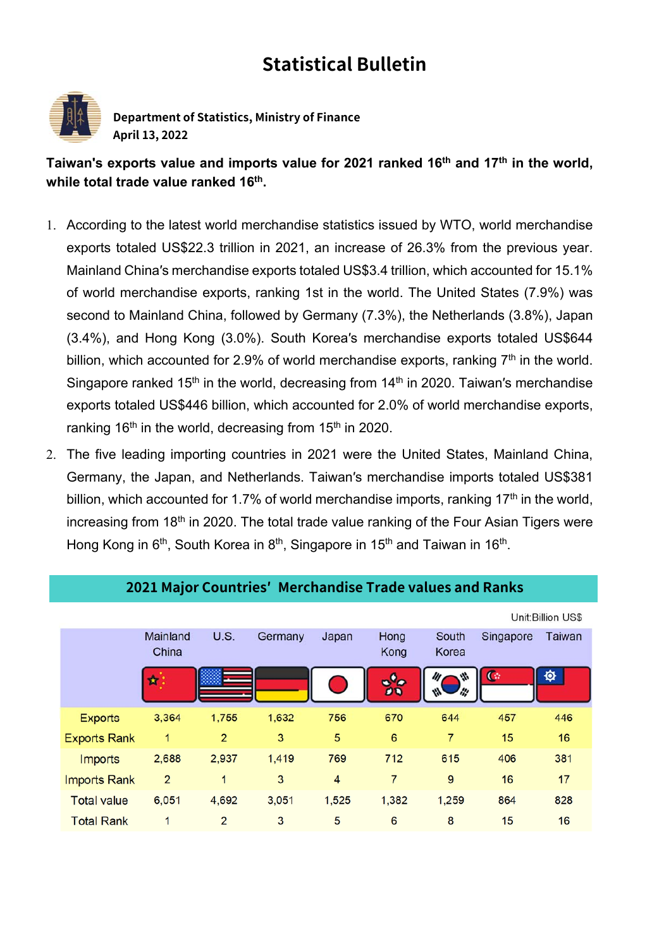## **Statistical Bulletin**



**Department of Statistics, Ministry of Finance April 13, 2022** 

Taiwan's exports value and imports value for 2021 ranked 16<sup>th</sup> and 17<sup>th</sup> in the world, **while total trade value ranked 16th.**

- 1. According to the latest world merchandise statistics issued by WTO, world merchandise exports totaled US\$22.3 trillion in 2021, an increase of 26.3% from the previous year. Mainland China′s merchandise exports totaled US\$3.4 trillion, which accounted for 15.1% of world merchandise exports, ranking 1st in the world. The United States (7.9%) was second to Mainland China, followed by Germany (7.3%), the Netherlands (3.8%), Japan (3.4%), and Hong Kong (3.0%). South Korea′s merchandise exports totaled US\$644 billion, which accounted for 2.9% of world merchandise exports, ranking  $7<sup>th</sup>$  in the world. Singapore ranked  $15<sup>th</sup>$  in the world, decreasing from  $14<sup>th</sup>$  in 2020. Taiwan's merchandise exports totaled US\$446 billion, which accounted for 2.0% of world merchandise exports, ranking 16<sup>th</sup> in the world, decreasing from 15<sup>th</sup> in 2020.
- 2. The five leading importing countries in 2021 were the United States, Mainland China, Germany, the Japan, and Netherlands. Taiwan′s merchandise imports totaled US\$381 billion, which accounted for 1.7% of world merchandise imports, ranking 17<sup>th</sup> in the world, increasing from 18<sup>th</sup> in 2020. The total trade value ranking of the Four Asian Tigers were Hong Kong in 6<sup>th</sup>, South Korea in 8<sup>th</sup>, Singapore in 15<sup>th</sup> and Taiwan in 16<sup>th</sup>.

|                     |                   |                |         |                 | Unit: Billion US\$ |                |              |               |  |  |
|---------------------|-------------------|----------------|---------|-----------------|--------------------|----------------|--------------|---------------|--|--|
|                     | Mainland<br>China | U.S.           | Germany | Japan           | Hong<br>Kong       | South<br>Korea | Singapore    | <b>Taiwan</b> |  |  |
|                     | k                 |                |         |                 | B<br>o<br>ØĐ       |                | $\mathbb{G}$ | <b>O</b>      |  |  |
| <b>Exports</b>      | 3,364             | 1,755          | 1,632   | 756             | 670                | 644            | 457          | 446           |  |  |
| <b>Exports Rank</b> | 1                 | $\overline{2}$ | 3       | 5               | 6                  | 7              | 15           | 16            |  |  |
| <b>Imports</b>      | 2,688             | 2,937          | 1,419   | 769             | 712                | 615            | 406          | 381           |  |  |
| <b>Imports Rank</b> | $\overline{2}$    | 1              | 3       | $\overline{4}$  | 7                  | 9              | 16           | 17            |  |  |
| <b>Total value</b>  | 6,051             | 4,692          | 3,051   | 1,525           | 1,382              | 1,259          | 864          | 828           |  |  |
| <b>Total Rank</b>   | 1                 | $\overline{2}$ | 3       | $5\phantom{.0}$ | 6                  | 8              | 15           | 16            |  |  |

## **2021 Major Countries′ Merchandise Trade values and Ranks**